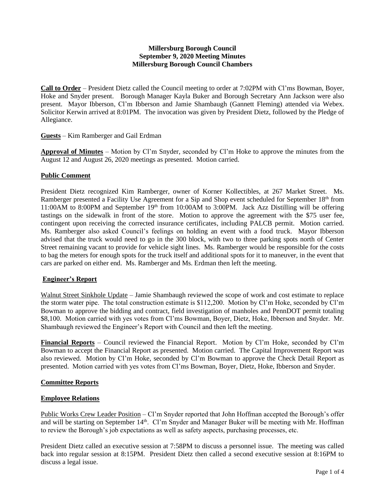## **Millersburg Borough Council September 9, 2020 Meeting Minutes Millersburg Borough Council Chambers**

**Call to Order** – President Dietz called the Council meeting to order at 7:02PM with Cl'ms Bowman, Boyer, Hoke and Snyder present. Borough Manager Kayla Buker and Borough Secretary Ann Jackson were also present. Mayor Ibberson, Cl'm Ibberson and Jamie Shambaugh (Gannett Fleming) attended via Webex. Solicitor Kerwin arrived at 8:01PM. The invocation was given by President Dietz, followed by the Pledge of Allegiance.

## **Guests** – Kim Ramberger and Gail Erdman

**Approval of Minutes** – Motion by Cl'm Snyder, seconded by Cl'm Hoke to approve the minutes from the August 12 and August 26, 2020 meetings as presented. Motion carried.

## **Public Comment**

President Dietz recognized Kim Ramberger, owner of Korner Kollectibles, at 267 Market Street. Ms. Ramberger presented a Facility Use Agreement for a Sip and Shop event scheduled for September 18<sup>th</sup> from 11:00AM to 8:00PM and September 19th from 10:00AM to 3:00PM. Jack Azz Distilling will be offering tastings on the sidewalk in front of the store. Motion to approve the agreement with the \$75 user fee, contingent upon receiving the corrected insurance certificates, including PALCB permit. Motion carried. Ms. Ramberger also asked Council's feelings on holding an event with a food truck. Mayor Ibberson advised that the truck would need to go in the 300 block, with two to three parking spots north of Center Street remaining vacant to provide for vehicle sight lines. Ms. Ramberger would be responsible for the costs to bag the meters for enough spots for the truck itself and additional spots for it to maneuver, in the event that cars are parked on either end. Ms. Ramberger and Ms. Erdman then left the meeting.

## **Engineer's Report**

Walnut Street Sinkhole Update – Jamie Shambaugh reviewed the scope of work and cost estimate to replace the storm water pipe. The total construction estimate is \$112,200. Motion by Cl'm Hoke, seconded by Cl'm Bowman to approve the bidding and contract, field investigation of manholes and PennDOT permit totaling \$8,100. Motion carried with yes votes from Cl'ms Bowman, Boyer, Dietz, Hoke, Ibberson and Snyder. Mr. Shambaugh reviewed the Engineer's Report with Council and then left the meeting.

**Financial Reports** – Council reviewed the Financial Report. Motion by Cl'm Hoke, seconded by Cl'm Bowman to accept the Financial Report as presented. Motion carried. The Capital Improvement Report was also reviewed. Motion by Cl'm Hoke, seconded by Cl'm Bowman to approve the Check Detail Report as presented. Motion carried with yes votes from Cl'ms Bowman, Boyer, Dietz, Hoke, Ibberson and Snyder.

## **Committee Reports**

## **Employee Relations**

Public Works Crew Leader Position – Cl'm Snyder reported that John Hoffman accepted the Borough's offer and will be starting on September 14<sup>th</sup>. Cl'm Snyder and Manager Buker will be meeting with Mr. Hoffman to review the Borough's job expectations as well as safety aspects, purchasing processes, etc.

President Dietz called an executive session at 7:58PM to discuss a personnel issue. The meeting was called back into regular session at 8:15PM. President Dietz then called a second executive session at 8:16PM to discuss a legal issue.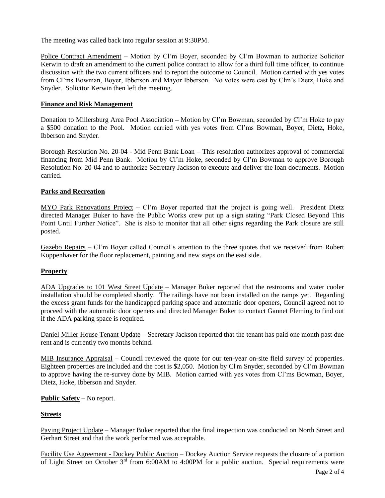The meeting was called back into regular session at 9:30PM.

Police Contract Amendment – Motion by Cl'm Boyer, seconded by Cl'm Bowman to authorize Solicitor Kerwin to draft an amendment to the current police contract to allow for a third full time officer, to continue discussion with the two current officers and to report the outcome to Council. Motion carried with yes votes from Cl'ms Bowman, Boyer, Ibberson and Mayor Ibberson. No votes were cast by Clm's Dietz, Hoke and Snyder. Solicitor Kerwin then left the meeting.

## **Finance and Risk Management**

Donation to Millersburg Area Pool Association **–** Motion by Cl'm Bowman, seconded by Cl'm Hoke to pay a \$500 donation to the Pool. Motion carried with yes votes from Cl'ms Bowman, Boyer, Dietz, Hoke, Ibberson and Snyder.

Borough Resolution No. 20-04 - Mid Penn Bank Loan – This resolution authorizes approval of commercial financing from Mid Penn Bank. Motion by Cl'm Hoke, seconded by Cl'm Bowman to approve Borough Resolution No. 20-04 and to authorize Secretary Jackson to execute and deliver the loan documents. Motion carried.

## **Parks and Recreation**

MYO Park Renovations Project – Cl'm Boyer reported that the project is going well. President Dietz directed Manager Buker to have the Public Works crew put up a sign stating "Park Closed Beyond This Point Until Further Notice". She is also to monitor that all other signs regarding the Park closure are still posted.

Gazebo Repairs – Cl'm Boyer called Council's attention to the three quotes that we received from Robert Koppenhaver for the floor replacement, painting and new steps on the east side.

# **Property**

ADA Upgrades to 101 West Street Update – Manager Buker reported that the restrooms and water cooler installation should be completed shortly. The railings have not been installed on the ramps yet. Regarding the excess grant funds for the handicapped parking space and automatic door openers, Council agreed not to proceed with the automatic door openers and directed Manager Buker to contact Gannet Fleming to find out if the ADA parking space is required.

Daniel Miller House Tenant Update – Secretary Jackson reported that the tenant has paid one month past due rent and is currently two months behind.

MIB Insurance Appraisal – Council reviewed the quote for our ten-year on-site field survey of properties. Eighteen properties are included and the cost is \$2,050. Motion by Cl'm Snyder, seconded by Cl'm Bowman to approve having the re-survey done by MIB. Motion carried with yes votes from Cl'ms Bowman, Boyer, Dietz, Hoke, Ibberson and Snyder.

## **Public Safety** – No report.

## **Streets**

Paving Project Update – Manager Buker reported that the final inspection was conducted on North Street and Gerhart Street and that the work performed was acceptable.

Facility Use Agreement - Dockey Public Auction – Dockey Auction Service requests the closure of a portion of Light Street on October 3<sup>rd</sup> from 6:00AM to 4:00PM for a public auction. Special requirements were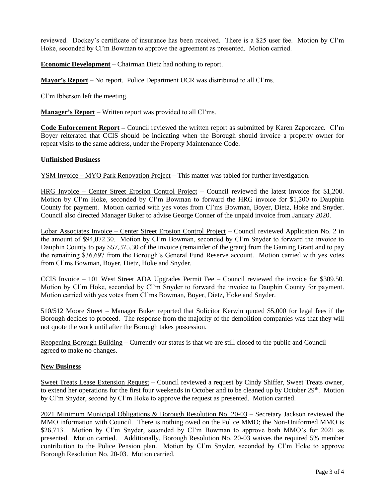reviewed. Dockey's certificate of insurance has been received. There is a \$25 user fee. Motion by Cl'm Hoke, seconded by Cl'm Bowman to approve the agreement as presented. Motion carried.

**Economic Development** – Chairman Dietz had nothing to report.

**Mayor's Report** – No report. Police Department UCR was distributed to all Cl'ms.

Cl'm Ibberson left the meeting.

**Manager's Report** – Written report was provided to all Cl'ms.

**Code Enforcement Report –** Council reviewed the written report as submitted by Karen Zaporozec. Cl'm Boyer reiterated that CCIS should be indicating when the Borough should invoice a property owner for repeat visits to the same address, under the Property Maintenance Code.

#### **Unfinished Business**

YSM Invoice – MYO Park Renovation Project – This matter was tabled for further investigation.

HRG Invoice – Center Street Erosion Control Project – Council reviewed the latest invoice for \$1,200. Motion by Cl'm Hoke, seconded by Cl'm Bowman to forward the HRG invoice for \$1,200 to Dauphin County for payment. Motion carried with yes votes from Cl'ms Bowman, Boyer, Dietz, Hoke and Snyder. Council also directed Manager Buker to advise George Conner of the unpaid invoice from January 2020.

Lobar Associates Invoice – Center Street Erosion Control Project – Council reviewed Application No. 2 in the amount of \$94,072.30. Motion by Cl'm Bowman, seconded by Cl'm Snyder to forward the invoice to Dauphin County to pay \$57,375.30 of the invoice (remainder of the grant) from the Gaming Grant and to pay the remaining \$36,697 from the Borough's General Fund Reserve account. Motion carried with yes votes from Cl'ms Bowman, Boyer, Dietz, Hoke and Snyder.

CCIS Invoice – 101 West Street ADA Upgrades Permit Fee – Council reviewed the invoice for \$309.50. Motion by Cl'm Hoke, seconded by Cl'm Snyder to forward the invoice to Dauphin County for payment. Motion carried with yes votes from Cl'ms Bowman, Boyer, Dietz, Hoke and Snyder.

510/512 Moore Street – Manager Buker reported that Solicitor Kerwin quoted \$5,000 for legal fees if the Borough decides to proceed. The response from the majority of the demolition companies was that they will not quote the work until after the Borough takes possession.

Reopening Borough Building – Currently our status is that we are still closed to the public and Council agreed to make no changes.

#### **New Business**

Sweet Treats Lease Extension Request – Council reviewed a request by Cindy Shiffer, Sweet Treats owner, to extend her operations for the first four weekends in October and to be cleaned up by October 29<sup>th</sup>. Motion by Cl'm Snyder, second by Cl'm Hoke to approve the request as presented. Motion carried.

2021 Minimum Municipal Obligations & Borough Resolution No. 20-03 – Secretary Jackson reviewed the MMO information with Council. There is nothing owed on the Police MMO; the Non-Uniformed MMO is \$26,713. Motion by Cl'm Snyder, seconded by Cl'm Bowman to approve both MMO's for 2021 as presented. Motion carried. Additionally, Borough Resolution No. 20-03 waives the required 5% member contribution to the Police Pension plan. Motion by Cl'm Snyder, seconded by Cl'm Hoke to approve Borough Resolution No. 20-03. Motion carried.